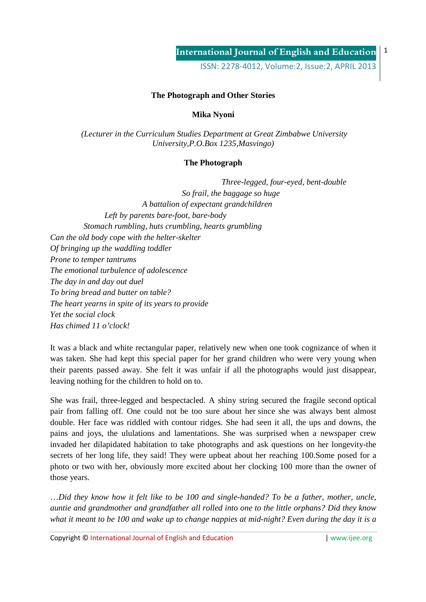ISSN: 2278-4012, Volume:2, Issue:2, APRIL 2013

#### **The Photograph and Other Stories**

**Mika Nyoni**

 *(Lecturer in the Curriculum Studies Department at Great Zimbabwe University University,P.O.Box 1235,Masvingo)*

#### **The Photograph**

 *Three-legged, four-eyed, bent-double So frail, the baggage so huge A battalion of expectant grandchildren Left by parents bare-foot, bare-body Stomach rumbling, huts crumbling, hearts grumbling Can the old body cope with the helter-skelter Of bringing up the waddling toddler Prone to temper tantrums The emotional turbulence of adolescence The day in and day out duel To bring bread and butter on table? The heart yearns in spite of its years to provide Yet the social clock Has chimed 11 o'clock!* 

It was a black and white rectangular paper, relatively new when one took cognizance of when it was taken. She had kept this special paper for her grand children who were very young when their parents passed away. She felt it was unfair if all the photographs would just disappear, leaving nothing for the children to hold on to.

She was frail, three-legged and bespectacled. A shiny string secured the fragile second optical pair from falling off. One could not be too sure about her since she was always bent almost double. Her face was riddled with contour ridges. She had seen it all, the ups and downs, the pains and joys, the ululations and lamentations. She was surprised when a newspaper crew invaded her dilapidated habitation to take photographs and ask questions on her longevity-the secrets of her long life, they said! They were upbeat about her reaching 100.Some posed for a photo or two with her, obviously more excited about her clocking 100 more than the owner of those years.

…*Did they know how it felt like to be 100 and single-handed? To be a father, mother, uncle, auntie and grandmother and grandfather all rolled into one to the little orphans? Did they know what it meant to be 100 and wake up to change nappies at mid-night? Even during the day it is a* 

Copyright © International Journal of English and Education | www.ijee.org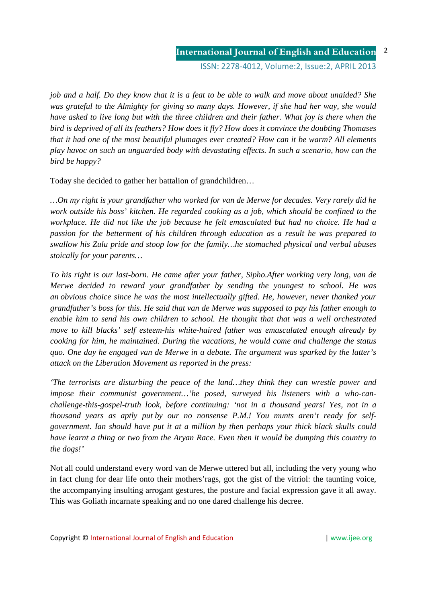#### **International Journal of English and Education**  $\overline{\phantom{0}}$

ISSN: 2278-4012, Volume:2, Issue:2, APRIL 2013

*job and a half. Do they know that it is a feat to be able to walk and move about unaided? She was grateful to the Almighty for giving so many days. However, if she had her way, she would have asked to live long but with the three children and their father. What joy is there when the bird is deprived of all its feathers? How does it fly? How does it convince the doubting Thomases that it had one of the most beautiful plumages ever created? How can it be warm? All elements play havoc on such an unguarded body with devastating effects. In such a scenario, how can the bird be happy?*

Today she decided to gather her battalion of grandchildren…

*…On my right is your grandfather who worked for van de Merwe for decades. Very rarely did he work outside his boss' kitchen. He regarded cooking as a job, which should be confined to the workplace. He did not like the job because he felt emasculated but had no choice. He had a passion for the betterment of his children through education as a result he was prepared to swallow his Zulu pride and stoop low for the family…he stomached physical and verbal abuses stoically for your parents…*

*To his right is our last-born. He came after your father, Sipho.After working very long, van de Merwe decided to reward your grandfather by sending the youngest to school. He was an obvious choice since he was the most intellectually gifted. He, however, never thanked your grandfather's boss for this. He said that van de Merwe was supposed to pay his father enough to enable him to send his own children to school. He thought that that was a well orchestrated move to kill blacks' self esteem-his white-haired father was emasculated enough already by cooking for him, he maintained. During the vacations, he would come and challenge the status quo. One day he engaged van de Merwe in a debate. The argument was sparked by the latter's attack on the Liberation Movement as reported in the press:*

*'The terrorists are disturbing the peace of the land…they think they can wrestle power and impose their communist government…'he posed, surveyed his listeners with a who-canchallenge-this-gospel-truth look, before continuing: 'not in a thousand years! Yes, not in a thousand years as aptly put by our no nonsense P.M.! You munts aren't ready for selfgovernment. Ian should have put it at a million by then perhaps your thick black skulls could have learnt a thing or two from the Aryan Race. Even then it would be dumping this country to the dogs!'*

Not all could understand every word van de Merwe uttered but all, including the very young who in fact clung for dear life onto their mothers'rags, got the gist of the vitriol: the taunting voice, the accompanying insulting arrogant gestures, the posture and facial expression gave it all away. This was Goliath incarnate speaking and no one dared challenge his decree.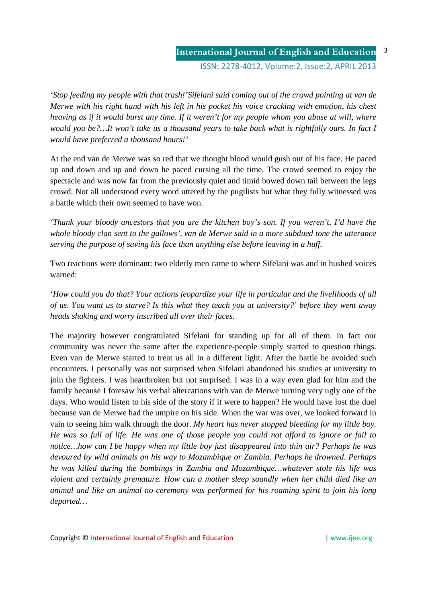ISSN: 2278-4012, Volume:2, Issue:2, APRIL 2013

*'Stop feeding my people with that trash!'Sifelani said coming out of the crowd pointing at van de Merwe with his right hand with his left in his pocket his voice cracking with emotion, his chest heaving as if it would burst any time. If it weren't for my people whom you abuse at will, where would you be?…It won't take us a thousand years to take back what is rightfully ours. In fact I would have preferred a thousand hours!'*

At the end van de Merwe was so red that we thought blood would gush out of his face. He paced up and down and up and down he paced cursing all the time. The crowd seemed to enjoy the spectacle and was now far from the previously quiet and timid bowed down tail between the legs crowd. Not all understood every word uttered by the pugilists but what they fully witnessed was a battle which their own seemed to have won.

*'Thank your bloody ancestors that you are the kitchen boy's son. If you weren't, I'd have the whole bloody clan sent to the gallows', van de Merwe said in a more subdued tone the utterance serving the purpose of saving his face than anything else before leaving in a huff.*

Two reactions were dominant: two elderly men came to where Sifelani was and in hushed voices warned:

'*How could you do that? Your actions jeopardize your life in particular and the livelihoods of all of us. You want us to starve? Is this what they teach you at university?' before they went away heads shaking and worry inscribed all over their faces.*

The majority however congratulated Sifelani for standing up for all of them. In fact our community was never the same after the experience-people simply started to question things. Even van de Merwe started to treat us all in a different light. After the battle he avoided such encounters. I personally was not surprised when Sifelani abandoned his studies at university to join the fighters. I was heartbroken but not surprised. I was in a way even glad for him and the family because I foresaw his verbal altercations with van de Merwe turning very ugly one of the days. Who would listen to his side of the story if it were to happen? He would have lost the duel because van de Merwe had the umpire on his side. When the war was over, we looked forward in vain to seeing him walk through the door. *My heart has never stopped bleeding for my little boy. He was so full of life. He was one of those people you could not afford to ignore or fail to notice…how can I be happy when my little boy just disappeared into thin air? Perhaps he was devoured by wild animals on his way to Mozambique or Zambia. Perhaps he drowned. Perhaps he was killed during the bombings in Zambia and Mozambique…whatever stole his life was violent and certainly premature. How can a mother sleep soundly when her child died like an animal and like an animal no ceremony was performed for his roaming spirit to join his long departed…*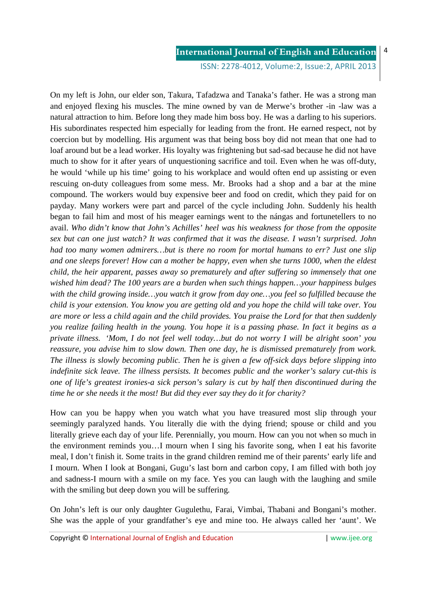ISSN: 2278-4012, Volume:2, Issue:2, APRIL 2013

4

On my left is John, our elder son, Takura, Tafadzwa and Tanaka's father. He was a strong man and enjoyed flexing his muscles. The mine owned by van de Merwe's brother -in -law was a natural attraction to him. Before long they made him boss boy. He was a darling to his superiors. His subordinates respected him especially for leading from the front. He earned respect, not by coercion but by modelling. His argument was that being boss boy did not mean that one had to loaf around but be a lead worker. His loyalty was frightening but sad-sad because he did not have much to show for it after years of unquestioning sacrifice and toil. Even when he was off-duty, he would 'while up his time' going to his workplace and would often end up assisting or even rescuing on-duty colleagues from some mess. Mr. Brooks had a shop and a bar at the mine compound. The workers would buy expensive beer and food on credit, which they paid for on payday. Many workers were part and parcel of the cycle including John. Suddenly his health began to fail him and most of his meager earnings went to the nángas and fortunetellers to no avail. *Who didn't know that John's Achilles' heel was his weakness for those from the opposite sex but can one just watch? It was confirmed that it was the disease. I wasn't surprised. John had too many women admirers…but is there no room for mortal humans to err? Just one slip and one sleeps forever! How can a mother be happy, even when she turns 1000, when the eldest child, the heir apparent, passes away so prematurely and after suffering so immensely that one wished him dead? The 100 years are a burden when such things happen…your happiness bulges with the child growing inside…you watch it grow from day one…you feel so fulfilled because the child is your extension. You know you are getting old and you hope the child will take over. You are more or less a child again and the child provides. You praise the Lord for that then suddenly you realize failing health in the young. You hope it is a passing phase. In fact it begins as a private illness. 'Mom, I do not feel well today…but do not worry I will be alright soon' you reassure, you advise him to slow down. Then one day, he is dismissed prematurely from work. The illness is slowly becoming public. Then he is given a few off-sick days before slipping into indefinite sick leave. The illness persists. It becomes public and the worker's salary cut-this is one of life's greatest ironies-a sick person's salary is cut by half then discontinued during the time he or she needs it the most! But did they ever say they do it for charity?* 

How can you be happy when you watch what you have treasured most slip through your seemingly paralyzed hands. You literally die with the dying friend; spouse or child and you literally grieve each day of your life. Perennially, you mourn. How can you not when so much in the environment reminds you…I mourn when I sing his favorite song, when I eat his favorite meal, I don't finish it. Some traits in the grand children remind me of their parents' early life and I mourn. When I look at Bongani, Gugu's last born and carbon copy, I am filled with both joy and sadness-I mourn with a smile on my face. Yes you can laugh with the laughing and smile with the smiling but deep down you will be suffering.

On John's left is our only daughter Gugulethu, Farai, Vimbai, Thabani and Bongani's mother. She was the apple of your grandfather's eye and mine too. He always called her 'aunt'. We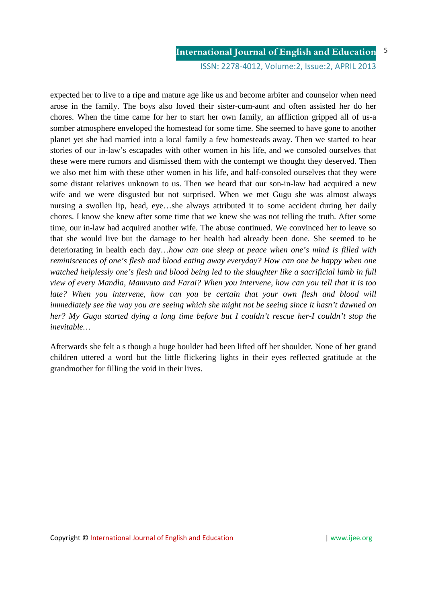ISSN: 2278-4012, Volume:2, Issue:2, APRIL 2013

5

expected her to live to a ripe and mature age like us and become arbiter and counselor when need arose in the family. The boys also loved their sister-cum-aunt and often assisted her do her chores. When the time came for her to start her own family, an affliction gripped all of us-a somber atmosphere enveloped the homestead for some time. She seemed to have gone to another planet yet she had married into a local family a few homesteads away. Then we started to hear stories of our in-law's escapades with other women in his life, and we consoled ourselves that these were mere rumors and dismissed them with the contempt we thought they deserved. Then we also met him with these other women in his life, and half-consoled ourselves that they were some distant relatives unknown to us. Then we heard that our son-in-law had acquired a new wife and we were disgusted but not surprised. When we met Gugu she was almost always nursing a swollen lip, head, eye…she always attributed it to some accident during her daily chores. I know she knew after some time that we knew she was not telling the truth. After some time, our in-law had acquired another wife. The abuse continued. We convinced her to leave so that she would live but the damage to her health had already been done. She seemed to be deteriorating in health each day…*how can one sleep at peace when one's mind is filled with reminiscences of one's flesh and blood eating away everyday? How can one be happy when one watched helplessly one's flesh and blood being led to the slaughter like a sacrificial lamb in full view of every Mandla, Mamvuto and Farai? When you intervene, how can you tell that it is too*  late? When you intervene, how can you be certain that your own flesh and blood will *immediately see the way you are seeing which she might not be seeing since it hasn't dawned on her? My Gugu started dying a long time before but I couldn't rescue her-I couldn't stop the inevitable…* 

Afterwards she felt a s though a huge boulder had been lifted off her shoulder. None of her grand children uttered a word but the little flickering lights in their eyes reflected gratitude at the grandmother for filling the void in their lives.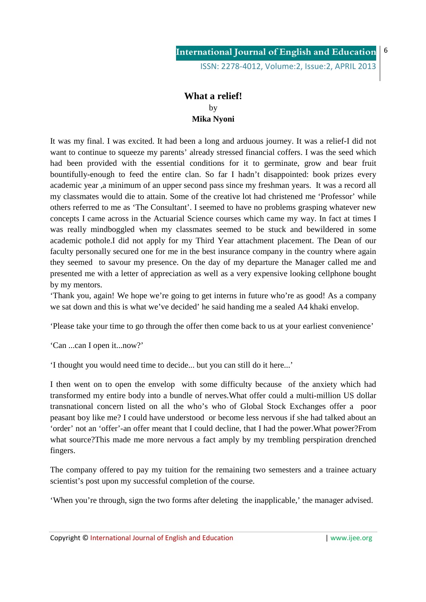## **What a relief!**  by **Mika Nyoni**

It was my final. I was excited. It had been a long and arduous journey. It was a relief-I did not want to continue to squeeze my parents' already stressed financial coffers. I was the seed which had been provided with the essential conditions for it to germinate, grow and bear fruit bountifully-enough to feed the entire clan. So far I hadn't disappointed: book prizes every academic year ,a minimum of an upper second pass since my freshman years. It was a record all my classmates would die to attain. Some of the creative lot had christened me 'Professor' while others referred to me as 'The Consultant'. I seemed to have no problems grasping whatever new concepts I came across in the Actuarial Science courses which came my way. In fact at times I was really mindboggled when my classmates seemed to be stuck and bewildered in some academic pothole.I did not apply for my Third Year attachment placement. The Dean of our faculty personally secured one for me in the best insurance company in the country where again they seemed to savour my presence. On the day of my departure the Manager called me and presented me with a letter of appreciation as well as a very expensive looking cellphone bought by my mentors.

'Thank you, again! We hope we're going to get interns in future who're as good! As a company we sat down and this is what we've decided' he said handing me a sealed A4 khaki envelop.

'Please take your time to go through the offer then come back to us at your earliest convenience'

'Can ...can I open it...now?'

'I thought you would need time to decide... but you can still do it here...'

I then went on to open the envelop with some difficulty because of the anxiety which had transformed my entire body into a bundle of nerves.What offer could a multi-million US dollar transnational concern listed on all the who's who of Global Stock Exchanges offer a poor peasant boy like me? I could have understood or become less nervous if she had talked about an 'order' not an 'offer'-an offer meant that I could decline, that I had the power.What power?From what source?This made me more nervous a fact amply by my trembling perspiration drenched fingers.

The company offered to pay my tuition for the remaining two semesters and a trainee actuary scientist's post upon my successful completion of the course.

'When you're through, sign the two forms after deleting the inapplicable,' the manager advised.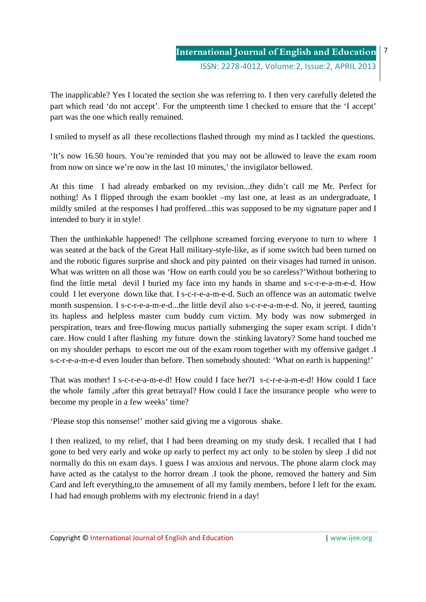The inapplicable? Yes I located the section she was referring to. I then very carefully deleted the part which read 'do not accept'. For the umpteenth time I checked to ensure that the 'I accept' part was the one which really remained.

I smiled to myself as all these recollections flashed through my mind as I tackled the questions.

'It's now 16.50 hours. You're reminded that you may not be allowed to leave the exam room from now on since we're now in the last 10 minutes,' the invigilator bellowed.

At this time I had already embarked on my revision...they didn't call me Mr. Perfect for nothing! As I flipped through the exam booklet –my last one, at least as an undergraduate, I mildly smiled at the responses I had proffered...this was supposed to be my signature paper and I intended to bury it in style!

Then the unthinkable happened! The cellphone screamed forcing everyone to turn to where I was seated at the back of the Great Hall military-style-like, as if some switch had been turned on and the robotic figures surprise and shock and pity painted on their visages had turned in unison. What was written on all those was 'How on earth could you be so careless?'Without bothering to find the little metal devil I buried my face into my hands in shame and s-c-r-e-a-m-e-d. How could I let everyone down like that. I s-c-r-e-a-m-e-d. Such an offence was an automatic twelve month suspension. I s-c-r-e-a-m-e-d...the little devil also s-c-r-e-a-m-e-d. No, it jeered, taunting its hapless and helpless master cum buddy cum victim. My body was now submerged in perspiration, tears and free-flowing mucus partially submerging the super exam script. I didn't care. How could I after flashing my future down the stinking lavatory? Some hand touched me on my shoulder perhaps to escort me out of the exam room together with my offensive gadget .I s-c-r-e-a-m-e-d even louder than before. Then somebody shouted: 'What on earth is happening!'

That was mother! I s-c-r-e-a-m-e-d! How could I face her?I s-c-r-e-a-m-e-d! How could I face the whole family ,after this great betrayal? How could I face the insurance people who were to become my people in a few weeks' time?

'Please stop this nonsense!' mother said giving me a vigorous shake.

I then realized, to my relief, that I had been dreaming on my study desk. I recalled that I had gone to bed very early and woke up early to perfect my act only to be stolen by sleep .I did not normally do this on exam days. I guess I was anxious and nervous. The phone alarm clock may have acted as the catalyst to the horror dream .I took the phone, removed the battery and Sim Card and left everything,to the amusement of all my family members, before I left for the exam. I had had enough problems with my electronic friend in a day!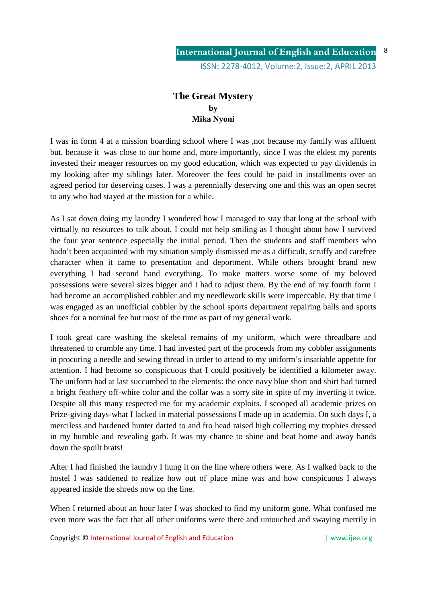## **The Great Mystery by Mika Nyoni**

I was in form 4 at a mission boarding school where I was ,not because my family was affluent but, because it was close to our home and, more importantly, since I was the eldest my parents invested their meager resources on my good education, which was expected to pay dividends in my looking after my siblings later. Moreover the fees could be paid in installments over an agreed period for deserving cases. I was a perennially deserving one and this was an open secret to any who had stayed at the mission for a while.

As I sat down doing my laundry I wondered how I managed to stay that long at the school with virtually no resources to talk about. I could not help smiling as I thought about how I survived the four year sentence especially the initial period. Then the students and staff members who hadn't been acquainted with my situation simply dismissed me as a difficult, scruffy and carefree character when it came to presentation and deportment. While others brought brand new everything I had second hand everything. To make matters worse some of my beloved possessions were several sizes bigger and I had to adjust them. By the end of my fourth form I had become an accomplished cobbler and my needlework skills were impeccable. By that time I was engaged as an unofficial cobbler by the school sports department repairing balls and sports shoes for a nominal fee but most of the time as part of my general work.

I took great care washing the skeletal remains of my uniform, which were threadbare and threatened to crumble any time. I had invested part of the proceeds from my cobbler assignments in procuring a needle and sewing thread in order to attend to my uniform's insatiable appetite for attention. I had become so conspicuous that I could positively be identified a kilometer away. The uniform had at last succumbed to the elements: the once navy blue short and shirt had turned a bright feathery off-white color and the collar was a sorry site in spite of my inverting it twice. Despite all this many respected me for my academic exploits. I scooped all academic prizes on Prize-giving days-what I lacked in material possessions I made up in academia. On such days I, a merciless and hardened hunter darted to and fro head raised high collecting my trophies dressed in my humble and revealing garb. It was my chance to shine and beat home and away hands down the spoilt brats!

After I had finished the laundry I hung it on the line where others were. As I walked back to the hostel I was saddened to realize how out of place mine was and how conspicuous I always appeared inside the shreds now on the line.

When I returned about an hour later I was shocked to find my uniform gone. What confused me even more was the fact that all other uniforms were there and untouched and swaying merrily in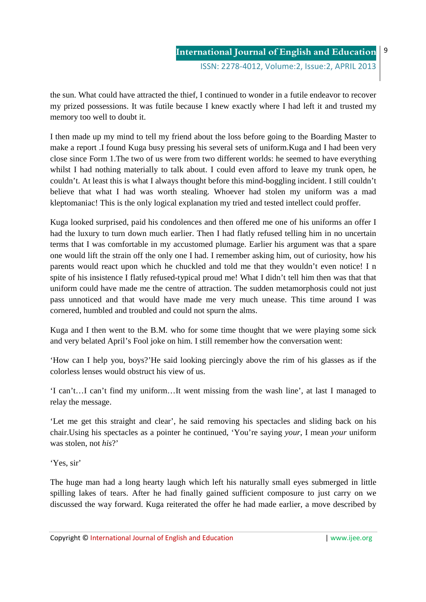the sun. What could have attracted the thief, I continued to wonder in a futile endeavor to recover my prized possessions. It was futile because I knew exactly where I had left it and trusted my memory too well to doubt it.

I then made up my mind to tell my friend about the loss before going to the Boarding Master to make a report .I found Kuga busy pressing his several sets of uniform.Kuga and I had been very close since Form 1.The two of us were from two different worlds: he seemed to have everything whilst I had nothing materially to talk about. I could even afford to leave my trunk open, he couldn't. At least this is what I always thought before this mind-boggling incident. I still couldn't believe that what I had was worth stealing. Whoever had stolen my uniform was a mad kleptomaniac! This is the only logical explanation my tried and tested intellect could proffer.

Kuga looked surprised, paid his condolences and then offered me one of his uniforms an offer I had the luxury to turn down much earlier. Then I had flatly refused telling him in no uncertain terms that I was comfortable in my accustomed plumage. Earlier his argument was that a spare one would lift the strain off the only one I had. I remember asking him, out of curiosity, how his parents would react upon which he chuckled and told me that they wouldn't even notice! I n spite of his insistence I flatly refused-typical proud me! What I didn't tell him then was that that uniform could have made me the centre of attraction. The sudden metamorphosis could not just pass unnoticed and that would have made me very much unease. This time around I was cornered, humbled and troubled and could not spurn the alms.

Kuga and I then went to the B.M. who for some time thought that we were playing some sick and very belated April's Fool joke on him. I still remember how the conversation went:

'How can I help you, boys?'He said looking piercingly above the rim of his glasses as if the colorless lenses would obstruct his view of us.

'I can't…I can't find my uniform…It went missing from the wash line', at last I managed to relay the message.

'Let me get this straight and clear', he said removing his spectacles and sliding back on his chair.Using his spectacles as a pointer he continued, 'You're saying *your*, I mean *your* uniform was stolen, not *his*?'

'Yes, sir'

The huge man had a long hearty laugh which left his naturally small eyes submerged in little spilling lakes of tears. After he had finally gained sufficient composure to just carry on we discussed the way forward. Kuga reiterated the offer he had made earlier, a move described by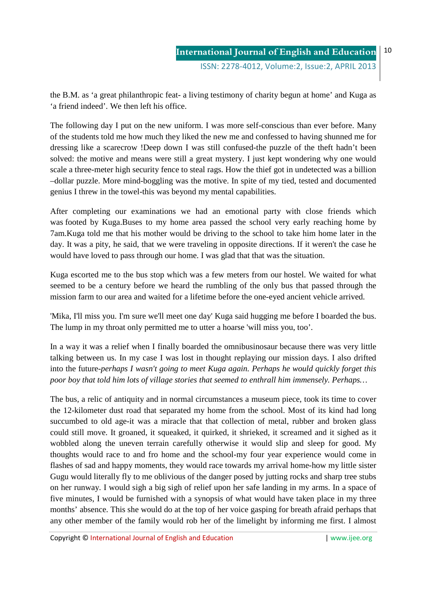ISSN: 2278-4012, Volume:2, Issue:2, APRIL 2013

the B.M. as 'a great philanthropic feat- a living testimony of charity begun at home' and Kuga as 'a friend indeed'. We then left his office.

The following day I put on the new uniform. I was more self-conscious than ever before. Many of the students told me how much they liked the new me and confessed to having shunned me for dressing like a scarecrow !Deep down I was still confused-the puzzle of the theft hadn't been solved: the motive and means were still a great mystery. I just kept wondering why one would scale a three-meter high security fence to steal rags. How the thief got in undetected was a billion –dollar puzzle. More mind-boggling was the motive. In spite of my tied, tested and documented genius I threw in the towel-this was beyond my mental capabilities.

After completing our examinations we had an emotional party with close friends which was footed by Kuga.Buses to my home area passed the school very early reaching home by 7am.Kuga told me that his mother would be driving to the school to take him home later in the day. It was a pity, he said, that we were traveling in opposite directions. If it weren't the case he would have loved to pass through our home. I was glad that that was the situation.

Kuga escorted me to the bus stop which was a few meters from our hostel. We waited for what seemed to be a century before we heard the rumbling of the only bus that passed through the mission farm to our area and waited for a lifetime before the one-eyed ancient vehicle arrived.

'Mika, I'll miss you. I'm sure we'll meet one day' Kuga said hugging me before I boarded the bus. The lump in my throat only permitted me to utter a hoarse 'will miss you, too'.

In a way it was a relief when I finally boarded the omnibusinosaur because there was very little talking between us. In my case I was lost in thought replaying our mission days. I also drifted into the future-*perhaps I wasn't going to meet Kuga again. Perhaps he would quickly forget this poor boy that told him lots of village stories that seemed to enthrall him immensely. Perhaps…*

The bus, a relic of antiquity and in normal circumstances a museum piece, took its time to cover the 12-kilometer dust road that separated my home from the school. Most of its kind had long succumbed to old age-it was a miracle that that collection of metal, rubber and broken glass could still move. It groaned, it squeaked, it quirked, it shrieked, it screamed and it sighed as it wobbled along the uneven terrain carefully otherwise it would slip and sleep for good. My thoughts would race to and fro home and the school-my four year experience would come in flashes of sad and happy moments, they would race towards my arrival home-how my little sister Gugu would literally fly to me oblivious of the danger posed by jutting rocks and sharp tree stubs on her runway. I would sigh a big sigh of relief upon her safe landing in my arms. In a space of five minutes, I would be furnished with a synopsis of what would have taken place in my three months' absence. This she would do at the top of her voice gasping for breath afraid perhaps that any other member of the family would rob her of the limelight by informing me first. I almost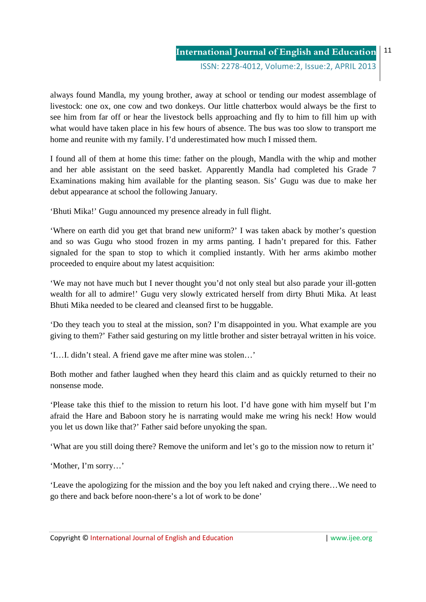ISSN: 2278-4012, Volume:2, Issue:2, APRIL 2013

always found Mandla, my young brother, away at school or tending our modest assemblage of livestock: one ox, one cow and two donkeys. Our little chatterbox would always be the first to see him from far off or hear the livestock bells approaching and fly to him to fill him up with what would have taken place in his few hours of absence. The bus was too slow to transport me home and reunite with my family. I'd underestimated how much I missed them.

I found all of them at home this time: father on the plough, Mandla with the whip and mother and her able assistant on the seed basket. Apparently Mandla had completed his Grade 7 Examinations making him available for the planting season. Sis' Gugu was due to make her debut appearance at school the following January.

'Bhuti Mika!' Gugu announced my presence already in full flight.

'Where on earth did you get that brand new uniform?' I was taken aback by mother's question and so was Gugu who stood frozen in my arms panting. I hadn't prepared for this. Father signaled for the span to stop to which it complied instantly. With her arms akimbo mother proceeded to enquire about my latest acquisition:

'We may not have much but I never thought you'd not only steal but also parade your ill-gotten wealth for all to admire!' Gugu very slowly extricated herself from dirty Bhuti Mika. At least Bhuti Mika needed to be cleared and cleansed first to be huggable.

'Do they teach you to steal at the mission, son? I'm disappointed in you. What example are you giving to them?' Father said gesturing on my little brother and sister betrayal written in his voice.

'I…I. didn't steal. A friend gave me after mine was stolen…'

Both mother and father laughed when they heard this claim and as quickly returned to their no nonsense mode.

'Please take this thief to the mission to return his loot. I'd have gone with him myself but I'm afraid the Hare and Baboon story he is narrating would make me wring his neck! How would you let us down like that?' Father said before unyoking the span.

'What are you still doing there? Remove the uniform and let's go to the mission now to return it'

'Mother, I'm sorry…'

'Leave the apologizing for the mission and the boy you left naked and crying there…We need to go there and back before noon-there's a lot of work to be done'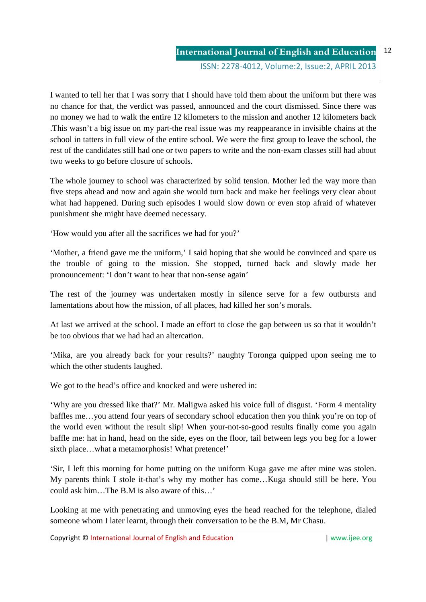ISSN: 2278-4012, Volume:2, Issue:2, APRIL 2013

I wanted to tell her that I was sorry that I should have told them about the uniform but there was no chance for that, the verdict was passed, announced and the court dismissed. Since there was no money we had to walk the entire 12 kilometers to the mission and another 12 kilometers back .This wasn't a big issue on my part-the real issue was my reappearance in invisible chains at the school in tatters in full view of the entire school. We were the first group to leave the school, the rest of the candidates still had one or two papers to write and the non-exam classes still had about two weeks to go before closure of schools.

The whole journey to school was characterized by solid tension. Mother led the way more than five steps ahead and now and again she would turn back and make her feelings very clear about what had happened. During such episodes I would slow down or even stop afraid of whatever punishment she might have deemed necessary.

'How would you after all the sacrifices we had for you?'

'Mother, a friend gave me the uniform,' I said hoping that she would be convinced and spare us the trouble of going to the mission. She stopped, turned back and slowly made her pronouncement: 'I don't want to hear that non-sense again'

The rest of the journey was undertaken mostly in silence serve for a few outbursts and lamentations about how the mission, of all places, had killed her son's morals.

At last we arrived at the school. I made an effort to close the gap between us so that it wouldn't be too obvious that we had had an altercation.

'Mika, are you already back for your results?' naughty Toronga quipped upon seeing me to which the other students laughed.

We got to the head's office and knocked and were ushered in:

'Why are you dressed like that?' Mr. Maligwa asked his voice full of disgust. 'Form 4 mentality baffles me…you attend four years of secondary school education then you think you're on top of the world even without the result slip! When your-not-so-good results finally come you again baffle me: hat in hand, head on the side, eyes on the floor, tail between legs you beg for a lower sixth place…what a metamorphosis! What pretence!'

'Sir, I left this morning for home putting on the uniform Kuga gave me after mine was stolen. My parents think I stole it-that's why my mother has come…Kuga should still be here. You could ask him The B.M is also aware of this.

Looking at me with penetrating and unmoving eyes the head reached for the telephone, dialed someone whom I later learnt, through their conversation to be the B.M, Mr Chasu.

Copyright © International Journal of English and Education | www.ijee.org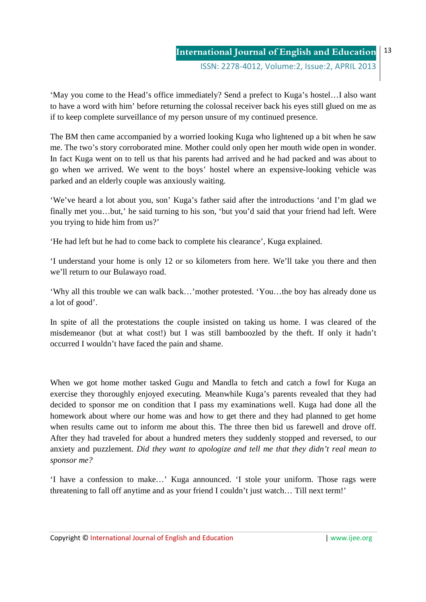'May you come to the Head's office immediately? Send a prefect to Kuga's hostel…I also want to have a word with him' before returning the colossal receiver back his eyes still glued on me as if to keep complete surveillance of my person unsure of my continued presence.

The BM then came accompanied by a worried looking Kuga who lightened up a bit when he saw me. The two's story corroborated mine. Mother could only open her mouth wide open in wonder. In fact Kuga went on to tell us that his parents had arrived and he had packed and was about to go when we arrived. We went to the boys' hostel where an expensive-looking vehicle was parked and an elderly couple was anxiously waiting.

'We've heard a lot about you, son' Kuga's father said after the introductions 'and I'm glad we finally met you…but,' he said turning to his son, 'but you'd said that your friend had left. Were you trying to hide him from us?'

'He had left but he had to come back to complete his clearance', Kuga explained.

'I understand your home is only 12 or so kilometers from here. We'll take you there and then we'll return to our Bulawayo road.

'Why all this trouble we can walk back…'mother protested. 'You…the boy has already done us a lot of good'.

In spite of all the protestations the couple insisted on taking us home. I was cleared of the misdemeanor (but at what cost!) but I was still bamboozled by the theft. If only it hadn't occurred I wouldn't have faced the pain and shame.

When we got home mother tasked Gugu and Mandla to fetch and catch a fowl for Kuga an exercise they thoroughly enjoyed executing. Meanwhile Kuga's parents revealed that they had decided to sponsor me on condition that I pass my examinations well. Kuga had done all the homework about where our home was and how to get there and they had planned to get home when results came out to inform me about this. The three then bid us farewell and drove off. After they had traveled for about a hundred meters they suddenly stopped and reversed, to our anxiety and puzzlement. *Did they want to apologize and tell me that they didn't real mean to sponsor me?*

'I have a confession to make…' Kuga announced. 'I stole your uniform. Those rags were threatening to fall off anytime and as your friend I couldn't just watch… Till next term!'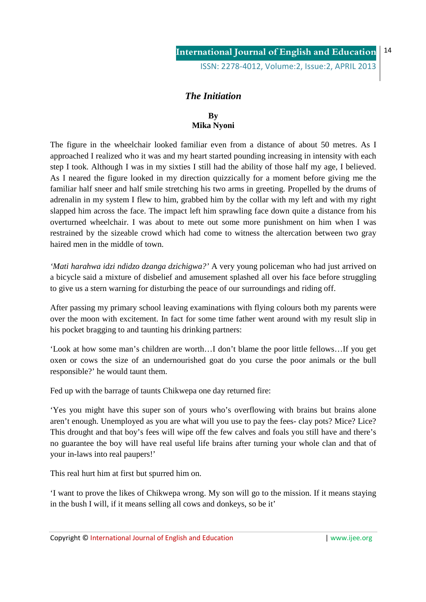## *The Initiation*

### **By Mika Nyoni**

The figure in the wheelchair looked familiar even from a distance of about 50 metres. As I approached I realized who it was and my heart started pounding increasing in intensity with each step I took. Although I was in my sixties I still had the ability of those half my age, I believed. As I neared the figure looked in my direction quizzically for a moment before giving me the familiar half sneer and half smile stretching his two arms in greeting. Propelled by the drums of adrenalin in my system I flew to him, grabbed him by the collar with my left and with my right slapped him across the face. The impact left him sprawling face down quite a distance from his overturned wheelchair. I was about to mete out some more punishment on him when I was restrained by the sizeable crowd which had come to witness the altercation between two gray haired men in the middle of town.

*'Mati harahwa idzi ndidzo dzanga dzichigwa?'* A very young policeman who had just arrived on a bicycle said a mixture of disbelief and amusement splashed all over his face before struggling to give us a stern warning for disturbing the peace of our surroundings and riding off.

After passing my primary school leaving examinations with flying colours both my parents were over the moon with excitement. In fact for some time father went around with my result slip in his pocket bragging to and taunting his drinking partners:

'Look at how some man's children are worth…I don't blame the poor little fellows…If you get oxen or cows the size of an undernourished goat do you curse the poor animals or the bull responsible?' he would taunt them.

Fed up with the barrage of taunts Chikwepa one day returned fire:

'Yes you might have this super son of yours who's overflowing with brains but brains alone aren't enough. Unemployed as you are what will you use to pay the fees- clay pots? Mice? Lice? This drought and that boy's fees will wipe off the few calves and foals you still have and there's no guarantee the boy will have real useful life brains after turning your whole clan and that of your in-laws into real paupers!'

This real hurt him at first but spurred him on.

'I want to prove the likes of Chikwepa wrong. My son will go to the mission. If it means staying in the bush I will, if it means selling all cows and donkeys, so be it'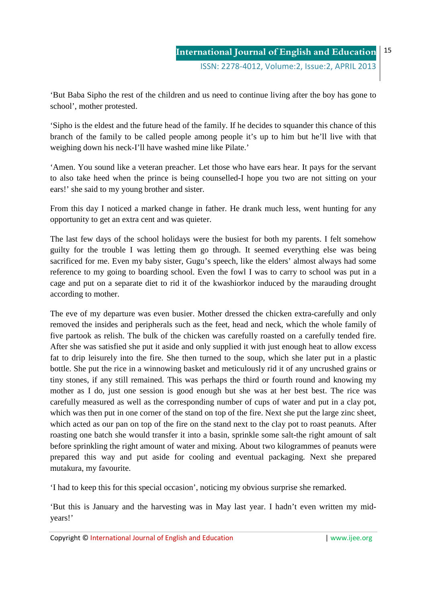'But Baba Sipho the rest of the children and us need to continue living after the boy has gone to school', mother protested.

'Sipho is the eldest and the future head of the family. If he decides to squander this chance of this branch of the family to be called people among people it's up to him but he'll live with that weighing down his neck-I'll have washed mine like Pilate.'

'Amen. You sound like a veteran preacher. Let those who have ears hear. It pays for the servant to also take heed when the prince is being counselled-I hope you two are not sitting on your ears!' she said to my young brother and sister.

From this day I noticed a marked change in father. He drank much less, went hunting for any opportunity to get an extra cent and was quieter.

The last few days of the school holidays were the busiest for both my parents. I felt somehow guilty for the trouble I was letting them go through. It seemed everything else was being sacrificed for me. Even my baby sister, Gugu's speech, like the elders' almost always had some reference to my going to boarding school. Even the fowl I was to carry to school was put in a cage and put on a separate diet to rid it of the kwashiorkor induced by the marauding drought according to mother.

The eve of my departure was even busier. Mother dressed the chicken extra-carefully and only removed the insides and peripherals such as the feet, head and neck, which the whole family of five partook as relish. The bulk of the chicken was carefully roasted on a carefully tended fire. After she was satisfied she put it aside and only supplied it with just enough heat to allow excess fat to drip leisurely into the fire. She then turned to the soup, which she later put in a plastic bottle. She put the rice in a winnowing basket and meticulously rid it of any uncrushed grains or tiny stones, if any still remained. This was perhaps the third or fourth round and knowing my mother as I do, just one session is good enough but she was at her best best. The rice was carefully measured as well as the corresponding number of cups of water and put in a clay pot, which was then put in one corner of the stand on top of the fire. Next she put the large zinc sheet, which acted as our pan on top of the fire on the stand next to the clay pot to roast peanuts. After roasting one batch she would transfer it into a basin, sprinkle some salt-the right amount of salt before sprinkling the right amount of water and mixing. About two kilogrammes of peanuts were prepared this way and put aside for cooling and eventual packaging. Next she prepared mutakura, my favourite.

'I had to keep this for this special occasion', noticing my obvious surprise she remarked.

'But this is January and the harvesting was in May last year. I hadn't even written my midyears!'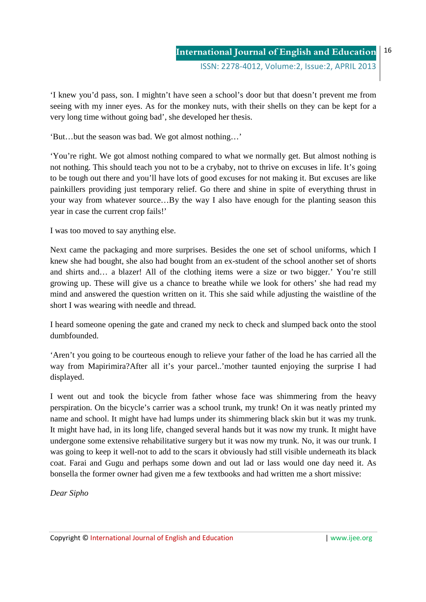ISSN: 2278-4012, Volume:2, Issue:2, APRIL 2013

'I knew you'd pass, son. I mightn't have seen a school's door but that doesn't prevent me from seeing with my inner eyes. As for the monkey nuts, with their shells on they can be kept for a very long time without going bad', she developed her thesis.

'But…but the season was bad. We got almost nothing…'

'You're right. We got almost nothing compared to what we normally get. But almost nothing is not nothing. This should teach you not to be a crybaby, not to thrive on excuses in life. It's going to be tough out there and you'll have lots of good excuses for not making it. But excuses are like painkillers providing just temporary relief. Go there and shine in spite of everything thrust in your way from whatever source…By the way I also have enough for the planting season this year in case the current crop fails!'

I was too moved to say anything else.

Next came the packaging and more surprises. Besides the one set of school uniforms, which I knew she had bought, she also had bought from an ex-student of the school another set of shorts and shirts and… a blazer! All of the clothing items were a size or two bigger.' You're still growing up. These will give us a chance to breathe while we look for others' she had read my mind and answered the question written on it. This she said while adjusting the waistline of the short I was wearing with needle and thread.

I heard someone opening the gate and craned my neck to check and slumped back onto the stool dumbfounded.

'Aren't you going to be courteous enough to relieve your father of the load he has carried all the way from Mapirimira?After all it's your parcel..'mother taunted enjoying the surprise I had displayed.

I went out and took the bicycle from father whose face was shimmering from the heavy perspiration. On the bicycle's carrier was a school trunk, my trunk! On it was neatly printed my name and school. It might have had lumps under its shimmering black skin but it was my trunk. It might have had, in its long life, changed several hands but it was now my trunk. It might have undergone some extensive rehabilitative surgery but it was now my trunk. No, it was our trunk. I was going to keep it well-not to add to the scars it obviously had still visible underneath its black coat. Farai and Gugu and perhaps some down and out lad or lass would one day need it. As bonsella the former owner had given me a few textbooks and had written me a short missive:

*Dear Sipho*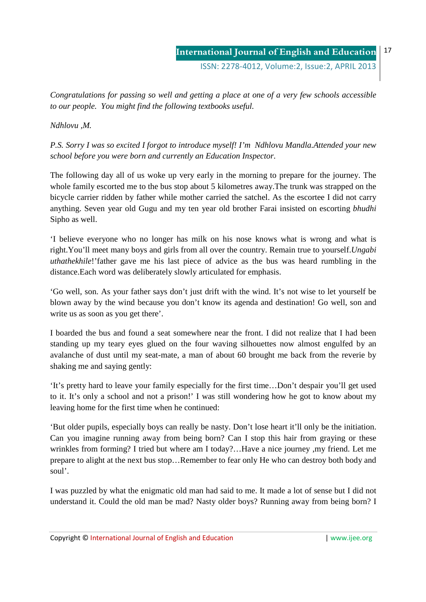ISSN: 2278-4012, Volume:2, Issue:2, APRIL 2013

*Congratulations for passing so well and getting a place at one of a very few schools accessible to our people. You might find the following textbooks useful.* 

*Ndhlovu ,M.* 

*P.S. Sorry I was so excited I forgot to introduce myself! I'm Ndhlovu Mandla.Attended your new school before you were born and currently an Education Inspector.* 

The following day all of us woke up very early in the morning to prepare for the journey. The whole family escorted me to the bus stop about 5 kilometres away.The trunk was strapped on the bicycle carrier ridden by father while mother carried the satchel. As the escortee I did not carry anything. Seven year old Gugu and my ten year old brother Farai insisted on escorting *bhudhi* Sipho as well.

'I believe everyone who no longer has milk on his nose knows what is wrong and what is right.You'll meet many boys and girls from all over the country. Remain true to yourself.*Ungabi uthathekhile*!'father gave me his last piece of advice as the bus was heard rumbling in the distance.Each word was deliberately slowly articulated for emphasis.

'Go well, son. As your father says don't just drift with the wind. It's not wise to let yourself be blown away by the wind because you don't know its agenda and destination! Go well, son and write us as soon as you get there'.

I boarded the bus and found a seat somewhere near the front. I did not realize that I had been standing up my teary eyes glued on the four waving silhouettes now almost engulfed by an avalanche of dust until my seat-mate, a man of about 60 brought me back from the reverie by shaking me and saying gently:

'It's pretty hard to leave your family especially for the first time…Don't despair you'll get used to it. It's only a school and not a prison!' I was still wondering how he got to know about my leaving home for the first time when he continued:

'But older pupils, especially boys can really be nasty. Don't lose heart it'll only be the initiation. Can you imagine running away from being born? Can I stop this hair from graying or these wrinkles from forming? I tried but where am I today?…Have a nice journey ,my friend. Let me prepare to alight at the next bus stop…Remember to fear only He who can destroy both body and soul'.

I was puzzled by what the enigmatic old man had said to me. It made a lot of sense but I did not understand it. Could the old man be mad? Nasty older boys? Running away from being born? I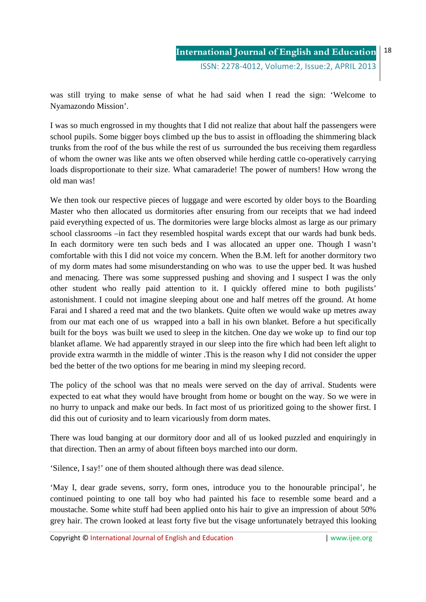**International Journal of English and Education** ISSN: 2278-4012, Volume:2, Issue:2, APRIL 2013

was still trying to make sense of what he had said when I read the sign: 'Welcome to Nyamazondo Mission'.

I was so much engrossed in my thoughts that I did not realize that about half the passengers were school pupils. Some bigger boys climbed up the bus to assist in offloading the shimmering black trunks from the roof of the bus while the rest of us surrounded the bus receiving them regardless of whom the owner was like ants we often observed while herding cattle co-operatively carrying loads disproportionate to their size. What camaraderie! The power of numbers! How wrong the old man was!

We then took our respective pieces of luggage and were escorted by older boys to the Boarding Master who then allocated us dormitories after ensuring from our receipts that we had indeed paid everything expected of us. The dormitories were large blocks almost as large as our primary school classrooms –in fact they resembled hospital wards except that our wards had bunk beds. In each dormitory were ten such beds and I was allocated an upper one. Though I wasn't comfortable with this I did not voice my concern. When the B.M. left for another dormitory two of my dorm mates had some misunderstanding on who was to use the upper bed. It was hushed and menacing. There was some suppressed pushing and shoving and I suspect I was the only other student who really paid attention to it. I quickly offered mine to both pugilists' astonishment. I could not imagine sleeping about one and half metres off the ground. At home Farai and I shared a reed mat and the two blankets. Quite often we would wake up metres away from our mat each one of us wrapped into a ball in his own blanket. Before a hut specifically built for the boys was built we used to sleep in the kitchen. One day we woke up to find our top blanket aflame. We had apparently strayed in our sleep into the fire which had been left alight to provide extra warmth in the middle of winter .This is the reason why I did not consider the upper bed the better of the two options for me bearing in mind my sleeping record.

The policy of the school was that no meals were served on the day of arrival. Students were expected to eat what they would have brought from home or bought on the way. So we were in no hurry to unpack and make our beds. In fact most of us prioritized going to the shower first. I did this out of curiosity and to learn vicariously from dorm mates.

There was loud banging at our dormitory door and all of us looked puzzled and enquiringly in that direction. Then an army of about fifteen boys marched into our dorm.

'Silence, I say!' one of them shouted although there was dead silence.

'May I, dear grade sevens, sorry, form ones, introduce you to the honourable principal', he continued pointing to one tall boy who had painted his face to resemble some beard and a moustache. Some white stuff had been applied onto his hair to give an impression of about 50% grey hair. The crown looked at least forty five but the visage unfortunately betrayed this looking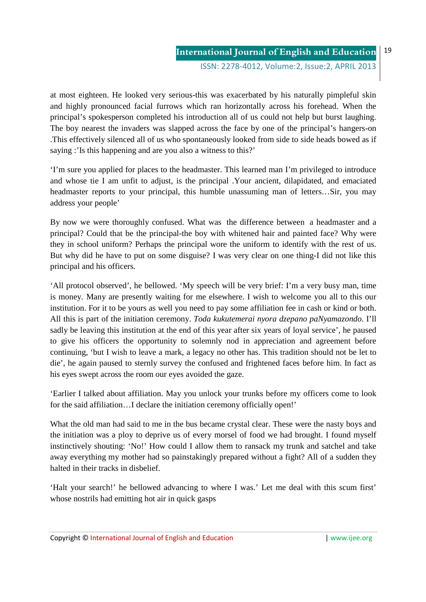ISSN: 2278-4012, Volume:2, Issue:2, APRIL 2013

at most eighteen. He looked very serious-this was exacerbated by his naturally pimpleful skin and highly pronounced facial furrows which ran horizontally across his forehead. When the principal's spokesperson completed his introduction all of us could not help but burst laughing. The boy nearest the invaders was slapped across the face by one of the principal's hangers-on .This effectively silenced all of us who spontaneously looked from side to side heads bowed as if saying :'Is this happening and are you also a witness to this?'

'I'm sure you applied for places to the headmaster. This learned man I'm privileged to introduce and whose tie I am unfit to adjust, is the principal .Your ancient, dilapidated, and emaciated headmaster reports to your principal, this humble unassuming man of letters…Sir, you may address your people'

By now we were thoroughly confused. What was the difference between a headmaster and a principal? Could that be the principal-the boy with whitened hair and painted face? Why were they in school uniform? Perhaps the principal wore the uniform to identify with the rest of us. But why did he have to put on some disguise? I was very clear on one thing-I did not like this principal and his officers.

'All protocol observed', he bellowed. 'My speech will be very brief: I'm a very busy man, time is money. Many are presently waiting for me elsewhere. I wish to welcome you all to this our institution. For it to be yours as well you need to pay some affiliation fee in cash or kind or both. All this is part of the initiation ceremony. *Toda kukutemerai nyora dzepano paNyamazondo*. I'll sadly be leaving this institution at the end of this year after six years of loyal service', he paused to give his officers the opportunity to solemnly nod in appreciation and agreement before continuing, 'but I wish to leave a mark, a legacy no other has. This tradition should not be let to die', he again paused to sternly survey the confused and frightened faces before him. In fact as his eyes swept across the room our eyes avoided the gaze.

'Earlier I talked about affiliation. May you unlock your trunks before my officers come to look for the said affiliation…I declare the initiation ceremony officially open!'

What the old man had said to me in the bus became crystal clear. These were the nasty boys and the initiation was a ploy to deprive us of every morsel of food we had brought. I found myself instinctively shouting: 'No!' How could I allow them to ransack my trunk and satchel and take away everything my mother had so painstakingly prepared without a fight? All of a sudden they halted in their tracks in disbelief.

'Halt your search!' he bellowed advancing to where I was.' Let me deal with this scum first' whose nostrils had emitting hot air in quick gasps